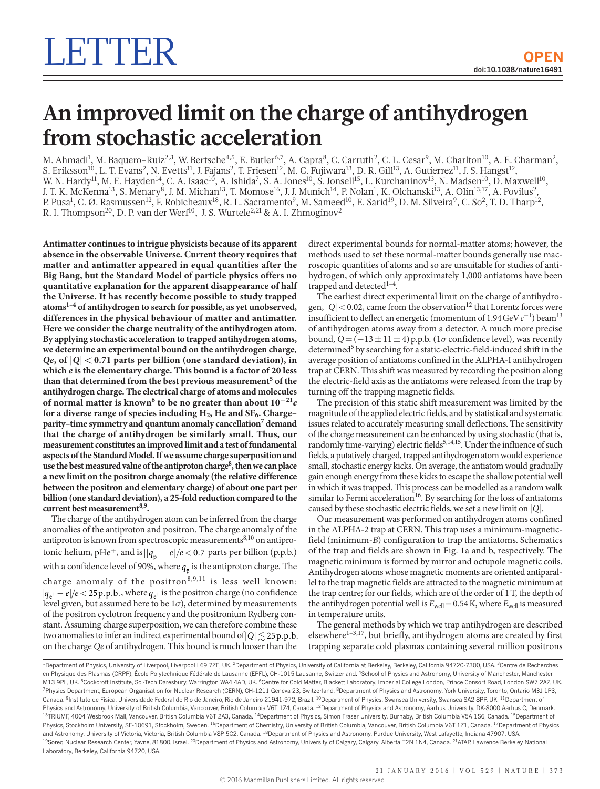## **An improved limit on the charge of antihydrogen from stochastic acceleration**

M. Ahmadi<sup>1</sup>, M. Baquero-Ruiz<sup>2,3</sup>, W. Bertsche<sup>4,5</sup>, E. Butler<sup>6,7</sup>, A. Capra<sup>8</sup>, C. Carruth<sup>2</sup>, C. L. Cesar<sup>9</sup>, M. Charlton<sup>10</sup>, A. E. Charman<sup>2</sup>, S. Eriksson<sup>10</sup>, L. T. Evans<sup>2</sup>, N. Evetts<sup>11</sup>, J. Fajans<sup>2</sup>, T. Friesen<sup>12</sup>, M. C. Fujiwara<sup>13</sup>, D. R. Gill<sup>13</sup>, A. Gutierrez<sup>11</sup>, J. S. Hangst<sup>12</sup>, W. N. Hardy<sup>11</sup>, M. E. Hayden<sup>14</sup>, C. A. Isaac<sup>10</sup>, A. Ishida<sup>7</sup>, S. A. Jones<sup>10</sup>, S. Jonsell<sup>15</sup>, L. Kurchaninov<sup>13</sup>, N. Madsen<sup>10</sup>, D. Maxwell<sup>10</sup>, J. T. K. McKenna<sup>13</sup>, S. Menary<sup>8</sup>, J. M. Michan<sup>13</sup>, T. Momose<sup>16</sup>, J. J. Munich<sup>14</sup>, P. Nolan<sup>1</sup>, K. Olchanski<sup>13</sup>, A. Olin<sup>13,17</sup>, A. Povilus<sup>2</sup>, P. Pusa<sup>1</sup>, C. Ø. Rasmussen<sup>12</sup>, F. Robicheaux<sup>18</sup>, R. L. Sacramento<sup>9</sup>, M. Sameed<sup>10</sup>, E. Sarid<sup>19</sup>, D. M. Silveira<sup>9</sup>, C. So<sup>2</sup>, T. D. Tharp<sup>12</sup>, R. I. Thompson<sup>20</sup>, D. P. van der Werf<sup>10</sup>, J. S. Wurtele<sup>2, 21</sup> & A. I. Zhmoginov<sup>2</sup>

**Antimatter continues to intrigue physicists because of its apparent absence in the observable Universe. Current theory requires that matter and antimatter appeared in equal quantities after the Big Bang, but the Standard Model of particle physics offers no quantitative explanation for the apparent disappearance of half the Universe. It has recently become possible to study trapped atoms[1](#page-3-0)[–4](#page-3-1) of antihydrogen to search for possible, as yet unobserved, differences in the physical behaviour of matter and antimatter. Here we consider the charge neutrality of the antihydrogen atom. By applying stochastic acceleration to trapped antihydrogen atoms, we determine an experimental bound on the antihydrogen charge,**  *Qe*, of  $|Q| < 0.71$  parts per billion (one standard deviation), in **which** *e* **is the elementary charge. This bound is a factor of 20 less than that determined from the best previous measurement[5](#page-3-2) of the antihydrogen charge. The electrical charge of atoms and molecules of normal matter is known[6](#page-3-3) to be no greater than about 10<sup>−</sup>21***e* for a diverse range of species including H<sub>2</sub>, He and SF<sub>6</sub>. Charge– **parity–time symmetry and quantum anomaly cancellatio[n7](#page-3-4) demand that the charge of antihydrogen be similarly small. Thus, our measurement constitutes an improved limit and a test of fundamental aspects of the Standard Model. If we assume charge superposition and use the best measured value of the antiproton charg[e8](#page-3-5) , then we can place a new limit on the positron charge anomaly (the relative difference between the positron and elementary charge) of about one part per billion (one standard deviation), a 25-fold reduction compared to the current best measuremen[t8](#page-3-5),[9](#page-3-6) .**

The charge of the antihydrogen atom can be inferred from the charge anomalies of the antiproton and positron. The charge anomaly of the antiproton is known from spectroscopic measurements  $8,10$  $8,10$  on antiprotonic helium,  $\overline{p}He^+$ , and is  $||q_{\overline{p}}| - e|/e < 0.7$  parts per billion (p.p.b.) with a confidence level of 90%, where  $q_{\scriptscriptstyle{\overline{p}}}$  is the antiproton charge. The charge anomaly of the positron<sup>[8,](#page-3-5)[9](#page-3-6),11</sup> is less well known:  $|q_{e^+} - e|/e < 25p.p.b.,$  where  $q_{e^+}$  is the positron charge (no confidence level given, but assumed here to be 1*σ*), determined by measurements of the positron cyclotron frequency and the positronium Rydberg constant. Assuming charge superposition, we can therefore combine these two anomalies to infer an indirect experimental bound of  $|Q| \leq 25p.p.b$ . on the charge *Qe* of antihydrogen. This bound is much looser than the

direct experimental bounds for normal-matter atoms; however, the methods used to set these normal-matter bounds generally use macroscopic quantities of atoms and so are unsuitable for studies of antihydrogen, of which only approximately 1,000 antiatoms have been trapped and detected<sup>1-4</sup>.

The earliest direct experimental limit on the charge of antihydrogen,  $|Q|$  < 0.02, came from the observation<sup>12</sup> that Lorentz forces were insufficient to deflect an energetic (momentum of 1.94GeV*c*−<sup>1</sup> ) bea[m13](#page-3-10) of antihydrogen atoms away from a detector. A much more precise bound,  $Q = (-13 \pm 11 \pm 4)$  p.p.b. (1 $\sigma$  confidence level), was recently determined<sup>5</sup> by searching for a static-electric-field-induced shift in the average position of antiatoms confined in the ALPHA-I antihydrogen trap at CERN. This shift was measured by recording the position along the electric-field axis as the antiatoms were released from the trap by turning off the trapping magnetic fields.

The precision of this static shift measurement was limited by the magnitude of the applied electric fields, and by statistical and systematic issues related to accurately measuring small deflections. The sensitivity of the charge measurement can be enhanced by using stochastic (that is, randomly time-varying) electric fields<sup>5[,14](#page-3-11),15</sup>. Under the influence of such fields, a putatively charged, trapped antihydrogen atom would experience small, stochastic energy kicks. On average, the antiatom would gradually gain enough energy from these kicks to escape the shallow potential well in which it was trapped. This process can be modelled as a random walk similar to Fermi acceleration<sup>16</sup>. By searching for the loss of antiatoms caused by these stochastic electric fields, we set a new limit on |*Q*|.

Our measurement was performed on antihydrogen atoms confined in the ALPHA-2 trap at CERN. This trap uses a minimum-magneticfield (minimum-*B*) configuration to trap the antiatoms. Schematics of the trap and fields are shown in [Fig. 1a and b,](#page-1-0) respectively. The magnetic minimum is formed by mirror and octupole magnetic coils. Antihydrogen atoms whose magnetic moments are oriented antiparallel to the trap magnetic fields are attracted to the magnetic minimum at the trap centre; for our fields, which are of the order of 1T, the depth of the antihydrogen potential well is  $E_{well}=0.54$  K, where  $E_{well}$  is measured in temperature units.

The general methods by which we trap antihydrogen are described elsewhere<sup>1-3,17</sup>, but briefly, antihydrogen atoms are created by first trapping separate cold plasmas containing several million positrons

<sup>&</sup>lt;sup>1</sup>Department of Physics, University of Liverpool, Liverpool L69 7ZE, UK. <sup>2</sup>Department of Physics, University of California at Berkeley, Berkeley, California 94720-7300, USA. <sup>3</sup>Centre de Recherches en Physique des Plasmas (CRPP), École Polytechnique Fédérale de Lausanne (EPFL), CH-1015 Lausanne, Switzerland. <sup>4</sup>School of Physics and Astronomy, University of Manchester, Manchester M13 9PL, UK. 5Cockcroft Institute, Sci-Tech Daresbury, Warrington WA4 4AD, UK. 6Centre for Cold Matter, Blackett Laboratory, Imperial College London, Prince Consort Road, London SW7 2AZ, UK. <sup>7</sup>Physics Department, European Organisation for Nuclear Research (CERN), CH-1211 Geneva 23, Switzerland. <sup>8</sup>Department of Physics and Astronomy, York University, Toronto, Ontario M3J 1P3, Canada. <sup>9</sup>Instituto de Física, Universidade Federal do Rio de Janeiro, Rio de Janeiro 21941-972, Brazil. <sup>10</sup>Department of Physics, Swansea University, Swansea SA2 8PP, UK. <sup>11</sup>Department of Physics and Astronomy, University of British Columbia, Vancouver, British Columbia V6T 124, Canada. <sup>12</sup>Department of Physics and Astronomy, Aarhus University, DK-8000 Aarhus C, Denmark. <sup>13</sup>TRIUMF, 4004 Wesbrook Mall, Vancouver, British Columbia V6T 2A3, Canada. <sup>14</sup>Department of Physics, Simon Fraser University, Burnaby, British Columbia V5A 1S6, Canada. <sup>15</sup>Department of Physics, Stockholm University, SE-10691, Stockholm, Sweden. <sup>16</sup>Department of Chemistry, University of British Columbia, Vancouver, British Columbia V6T 1Z1, Canada. <sup>17</sup>Department of Physics and Astronomy, University of Victoria, Victoria, British Columbia V8P 5C2, Canada. <sup>18</sup>Department of Physics and Astronomy, Purdue University, West Lafayette, Indiana 47907, USA <sup>19</sup>Soreq Nuclear Research Center, Yavne, 81800, Israel. <sup>20</sup>Department of Physics and Astronomy, University of Calgary, Calgary, Alberta T2N 1N4, Canada. <sup>21</sup>ATAP, Lawrence Berkeley National Laboratory, Berkeley, California 94720, USA.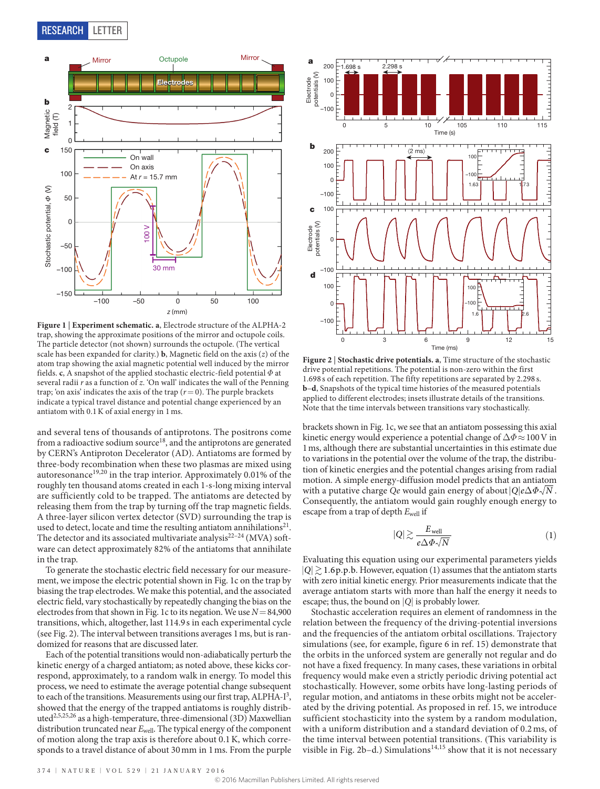

<span id="page-1-0"></span>**Figure 1** | **Experiment schematic. a**, Electrode structure of the ALPHA-2 trap, showing the approximate positions of the mirror and octupole coils. The particle detector (not shown) surrounds the octupole. (The vertical scale has been expanded for clarity.) **b**, Magnetic field on the axis (*z*) of the atom trap showing the axial magnetic potential well induced by the mirror fields. **c**, A snapshot of the applied stochastic electric-field potential *Φ* at several radii *r* as a function of *z*. 'On wall' indicates the wall of the Penning trap; 'on axis' indicates the axis of the trap  $(r=0)$ . The purple brackets indicate a typical travel distance and potential change experienced by an antiatom with 0.1K of axial energy in 1 ms.

and several tens of thousands of antiprotons. The positrons come from a radioactive sodium source<sup>18</sup>, and the antiprotons are generated by CERN's Antiproton Decelerator (AD). Antiatoms are formed by three-body recombination when these two plasmas are mixed using autoresonance<sup>[19](#page-3-16),[20](#page-3-17)</sup> in the trap interior. Approximately 0.01% of the roughly ten thousand atoms created in each 1-s-long mixing interval are sufficiently cold to be trapped. The antiatoms are detected by releasing them from the trap by turning off the trap magnetic fields. A three-layer silicon vertex detector (SVD) surrounding the trap is used to detect, locate and time the resulting antiatom annihilations<sup>[21](#page-3-18)</sup>. The detector and its associated multivariate analysis<sup>[22–24](#page-3-19)</sup> (MVA) software can detect approximately 82% of the antiatoms that annihilate in the trap.

To generate the stochastic electric field necessary for our measurement, we impose the electric potential shown in [Fig. 1c](#page-1-0) on the trap by biasing the trap electrodes. We make this potential, and the associated electric field, vary stochastically by repeatedly changing the bias on the electrodes from that shown in [Fig. 1c](#page-1-0) to its negation. We use  $N = 84,900$ transitions, which, altogether, last 114.9s in each experimental cycle (see [Fig. 2\)](#page-1-1). The interval between transitions averages 1ms, but is randomized for reasons that are discussed later.

Each of the potential transitions would non-adiabatically perturb the kinetic energy of a charged antiatom; as noted above, these kicks correspond, approximately, to a random walk in energy. To model this process, we need to estimate the average potential change subsequent to each of the transitions. Measurements using our first trap, ALPHA-I<sup>3</sup>, showed that the energy of the trapped antiatoms is roughly distribute[d2](#page-3-21)[,5](#page-3-2),[25](#page-3-22)[,26](#page-3-23) as a high-temperature, three-dimensional (3D) Maxwellian distribution truncated near *E*well. The typical energy of the component of motion along the trap axis is therefore about 0.1K, which corresponds to a travel distance of about 30mm in 1ms. From the purple



<span id="page-1-1"></span>**Figure 2** | **Stochastic drive potentials. a**, Time structure of the stochastic drive potential repetitions. The potential is non-zero within the first 1.698 s of each repetition. The fifty repetitions are separated by 2.298 s. **b**–**d**, Snapshots of the typical time histories of the measured potentials applied to different electrodes; insets illustrate details of the transitions. Note that the time intervals between transitions vary stochastically.

brackets shown in [Fig. 1c,](#page-1-0) we see that an antiatom possessing this axial kinetic energy would experience a potential change of Δ*Φ*≈100V in 1ms, although there are substantial uncertainties in this estimate due to variations in the potential over the volume of the trap, the distribution of kinetic energies and the potential changes arising from radial motion. A simple energy-diffusion model predicts that an antiatom with a putative charge *Qe* would gain energy of about  $|Q|e\Delta\Phi\sqrt{N}$ . Consequently, the antiatom would gain roughly enough energy to escape from a trap of depth *E*well if

$$
|Q| \gtrsim \frac{E_{\text{well}}}{e\Delta\Phi\sqrt{N}}\tag{1}
$$

Evaluating this equation using our experimental parameters yields  $|Q| \ge 1.6$  p.p.b. However, equation (1) assumes that the antiatom starts with zero initial kinetic energy. Prior measurements indicate that the average antiatom starts with more than half the energy it needs to escape; thus, the bound on |*Q*| is probably lower.

Stochastic acceleration requires an element of randomness in the relation between the frequency of the driving-potential inversions and the frequencies of the antiatom orbital oscillations. Trajectory simulations (see, for example, figure 6 in ref. [15](#page-3-12)) demonstrate that the orbits in the unforced system are generally not regular and do not have a fixed frequency. In many cases, these variations in orbital frequency would make even a strictly periodic driving potential act stochastically. However, some orbits have long-lasting periods of regular motion, and antiatoms in these orbits might not be accelerated by the driving potential. As proposed in ref. [15](#page-3-12), we introduce sufficient stochasticity into the system by a random modulation, with a uniform distribution and a standard deviation of 0.2 ms, of the time interval between potential transitions. (This variability is visible in [Fig. 2b–d.](#page-1-1)) Simulations<sup>[14](#page-3-11),[15](#page-3-12)</sup> show that it is not necessary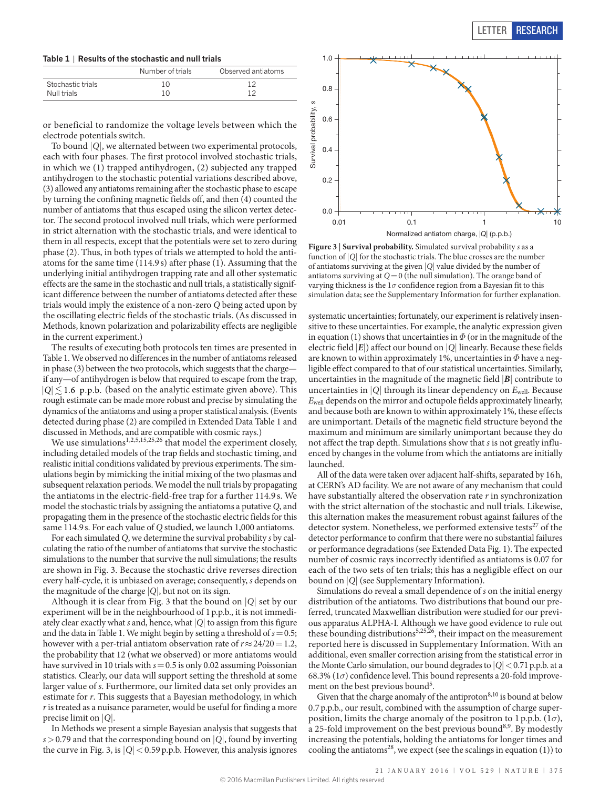<span id="page-2-0"></span>**Table 1** | **Results of the stochastic and null trials**

|                   | Number of trials | Observed antiatoms |
|-------------------|------------------|--------------------|
| Stochastic trials | 10               | 1 ^                |
| Null trials       | 1 ∩              |                    |

or beneficial to randomize the voltage levels between which the electrode potentials switch.

To bound |*Q*|, we alternated between two experimental protocols, each with four phases. The first protocol involved stochastic trials, in which we (1) trapped antihydrogen, (2) subjected any trapped antihydrogen to the stochastic potential variations described above, (3) allowed any antiatoms remaining after the stochastic phase to escape by turning the confining magnetic fields off, and then (4) counted the number of antiatoms that thus escaped using the silicon vertex detector. The second protocol involved null trials, which were performed in strict alternation with the stochastic trials, and were identical to them in all respects, except that the potentials were set to zero during phase (2). Thus, in both types of trials we attempted to hold the antiatoms for the same time (114.9 s) after phase (1). Assuming that the underlying initial antihydrogen trapping rate and all other systematic effects are the same in the stochastic and null trials, a statistically significant difference between the number of antiatoms detected after these trials would imply the existence of a non-zero *Q* being acted upon by the oscillating electric fields of the stochastic trials. (As discussed in Methods, known polarization and polarizability effects are negligible in the current experiment.)

The results of executing both protocols ten times are presented in [Table 1](#page-2-0). We observed no differences in the number of antiatoms released in phase (3) between the two protocols, which suggests that the charge if any—of antihydrogen is below that required to escape from the trap,  $|Q| \leq 1.6$  p.p.b. (based on the analytic estimate given above). This rough estimate can be made more robust and precise by simulating the dynamics of the antiatoms and using a proper statistical analysis. (Events detected during phase (2) are compiled in [Extended Data Table 1](#page-7-0) and discussed in Methods, and are compatible with cosmic rays.)

We use simulations<sup>[1](#page-3-0),[2](#page-3-21)[,5,](#page-3-2)[15,](#page-3-12)[25,](#page-3-22)[26](#page-3-23)</sup> that model the experiment closely, including detailed models of the trap fields and stochastic timing, and realistic initial conditions validated by previous experiments. The simulations begin by mimicking the initial mixing of the two plasmas and subsequent relaxation periods. We model the null trials by propagating the antiatoms in the electric-field-free trap for a further 114.9 s. We model the stochastic trials by assigning the antiatoms a putative *Q*, and propagating them in the presence of the stochastic electric fields for this same 114.9s. For each value of *Q* studied, we launch 1,000 antiatoms.

For each simulated *Q*, we determine the survival probability *s* by calculating the ratio of the number of antiatoms that survive the stochastic simulations to the number that survive the null simulations; the results are shown in [Fig. 3](#page-2-1). Because the stochastic drive reverses direction every half-cycle, it is unbiased on average; consequently, *s* depends on the magnitude of the charge |*Q*|, but not on its sign.

Although it is clear from [Fig. 3](#page-2-1) that the bound on |*Q*| set by our experiment will be in the neighbourhood of 1p.p.b., it is not immediately clear exactly what *s* and, hence, what |*Q*| to assign from this figure and the data in [Table 1.](#page-2-0) We might begin by setting a threshold of  $s = 0.5$ ; however with a per-trial antiatom observation rate of  $r \approx 24/20 = 1.2$ , the probability that 12 (what we observed) or more antiatoms would have survived in 10 trials with *s*=0.5 is only 0.02 assuming Poissonian statistics. Clearly, our data will support setting the threshold at some larger value of *s*. Furthermore, our limited data set only provides an estimate for *r*. This suggests that a Bayesian methodology, in which *r* is treated as a nuisance parameter, would be useful for finding a more precise limit on |*Q*|.

In Methods we present a simple Bayesian analysis that suggests that *s*>0.79 and that the corresponding bound on |*Q*|, found by inverting the curve in [Fig. 3,](#page-2-1) is  $|Q|$  < 0.59 p.p.b. However, this analysis ignores



<span id="page-2-1"></span>**Figure 3** | **Survival probability.** Simulated survival probability *s* as a function of |*Q*| for the stochastic trials. The blue crosses are the number of antiatoms surviving at the given |*Q*| value divided by the number of antiatoms surviving at  $Q=0$  (the null simulation). The orange band of varying thickness is the  $1\sigma$  confidence region from a Bayesian fit to this simulation data; see the Supplementary Information for further explanation.

systematic uncertainties; fortunately, our experiment is relatively insensitive to these uncertainties. For example, the analytic expression given in equation (1) shows that uncertainties in  $\varPhi$  (or in the magnitude of the electric field |*E*|) affect our bound on |*Q*| linearly. Because these fields are known to within approximately 1%, uncertainties in *Φ* have a negligible effect compared to that of our statistical uncertainties. Similarly, uncertainties in the magnitude of the magnetic field |*B*| contribute to uncertainties in  $|Q|$  through its linear dependency on  $E_{well}$ . Because *E*well depends on the mirror and octupole fields approximately linearly, and because both are known to within approximately 1%, these effects are unimportant. Details of the magnetic field structure beyond the maximum and minimum are similarly unimportant because they do not affect the trap depth. Simulations show that *s* is not greatly influenced by changes in the volume from which the antiatoms are initially launched.

All of the data were taken over adjacent half-shifts, separated by 16h, at CERN's AD facility. We are not aware of any mechanism that could have substantially altered the observation rate *r* in synchronization with the strict alternation of the stochastic and null trials. Likewise, this alternation makes the measurement robust against failures of the detector system. Nonetheless, we performed extensive tests $^{27}$  of the detector performance to confirm that there were no substantial failures or performance degradations (see [Extended Data Fig. 1](#page-6-0)). The expected number of cosmic rays incorrectly identified as antiatoms is 0.07 for each of the two sets of ten trials; this has a negligible effect on our bound on |*Q*| (see Supplementary Information).

Simulations do reveal a small dependence of *s* on the initial energy distribution of the antiatoms. Two distributions that bound our preferred, truncated Maxwellian distribution were studied for our previous apparatus ALPHA-I. Although we have good evidence to rule out these bounding distributions<sup>[5](#page-3-2)[,25](#page-3-22),[26](#page-3-23)</sup>, their impact on the measurement reported here is discussed in Supplementary Information. With an additional, even smaller correction arising from the statistical error in the Monte Carlo simulation, our bound degrades to  $|O| < 0.71$  p.p.b. at a 68.3%  $(1\sigma)$  confidence level. This bound represents a 20-fold improvement on the best previous bound<sup>5</sup>.

Given that the charge anomaly of the antiproton<sup>8,10</sup> is bound at below 0.7p.p.b., our result, combined with the assumption of charge superposition, limits the charge anomaly of the positron to 1p.p.b. (1*σ*), a 25-fold improvement on the best previous bound<sup>[8](#page-3-5),[9](#page-3-6)</sup>. By modestly increasing the potentials, holding the antiatoms for longer times and cooling the antiatoms<sup>28</sup>, we expect (see the scalings in equation (1)) to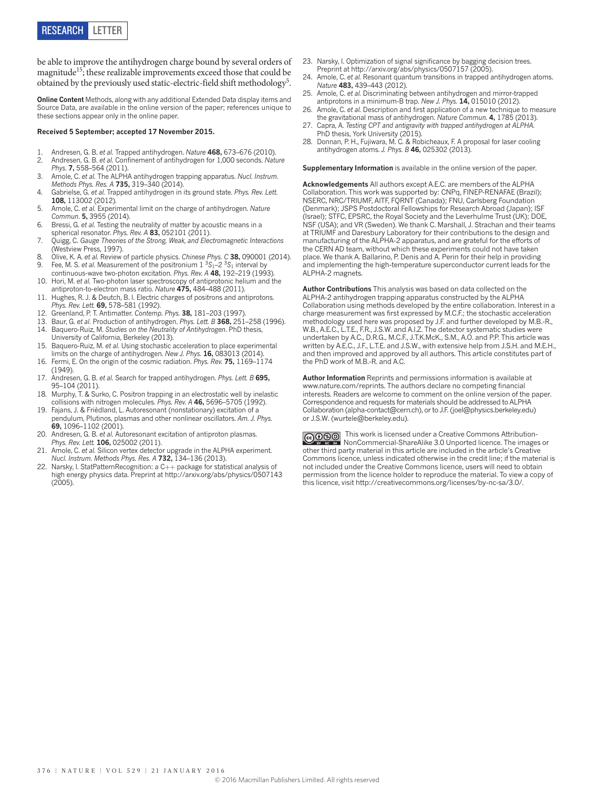be able to improve the antihydrogen charge bound by several orders of magnitude[15;](#page-3-12) these realizable improvements exceed those that could be obtained by the previously used static-electric-field shift methodology<sup>5</sup>.

**Online Content** Methods, along with any additional Extended Data display items and Source Data, are available in the [online version of the paper](http://www.nature.com/doifinder/10.1038/nature16491); references unique to these sections appear only in the online paper.

## **received 5 September; accepted 17 November 2015.**

- <span id="page-3-0"></span>1. Andresen, G. B. *et al.* Trapped antihydrogen. *Nature* **468,** 673–676 (2010).
- <span id="page-3-21"></span>2. Andresen, G. B. *et al.* Confinement of antihydrogen for 1,000 seconds. *Nature Phys*. **7,** 558–564 (2011).
- <span id="page-3-20"></span>3. Amole, C. *et al.* The ALPHA antihydrogen trapping apparatus. *Nucl. Instrum. Methods Phys. Res. A* **735,** 319–340 (2014).
- <span id="page-3-1"></span>4. Gabrielse, G. *et al.* Trapped antihydrogen in its ground state. *Phys. Rev. Lett.* **108,** 113002 (2012).
- <span id="page-3-2"></span>5. Amole, C. *et al.* Experimental limit on the charge of antihydrogen. *Nature Commun*. **5,** 3955 (2014).
- <span id="page-3-3"></span>6. Bressi, G. *et al.* Testing the neutrality of matter by acoustic means in a spherical resonator. *Phys. Rev. A* **83,** 052101 (2011).
- <span id="page-3-4"></span>7. Quigg, C. *Gauge Theories of the Strong, Weak, and Electromagnetic Interactions*  (Westview Press, 1997).
- <span id="page-3-5"></span>8. Olive, K. A. *et al.* Review of particle physics. *Chinese Phys. C* **38,** 090001 (2014). 9. Fee, M. S. *et al.* Measurement of the positronium 1 3*S*1–2 3*S*1 interval by
- <span id="page-3-7"></span><span id="page-3-6"></span>continuous-wave two-photon excitation. *Phys. Rev. A* **48,** 192–219 (1993). 10. Hori, M. *et al.* Two-photon laser spectroscopy of antiprotonic helium and the antiproton-to-electron mass ratio. *Nature* **475,** 484–488 (2011).
- <span id="page-3-8"></span>11. Hughes, R. J. & Deutch, B. I. Electric charges of positrons and antiprotons. *Phys. Rev. Lett.* **69,** 578–581 (1992).
- <span id="page-3-9"></span>12. Greenland, P. T. Antimatter. *Contemp. Phys.* **38,** 181–203 (1997).
- <span id="page-3-11"></span><span id="page-3-10"></span>13. Baur, G. *et al.* Production of antihydrogen. *Phys. Lett. B* **368,** 251–258 (1996). 14. Baquero-Ruiz, M. *Studies on the Neutrality of Antihydrogen*. PhD thesis, University of California, Berkeley (2013).
- <span id="page-3-12"></span>15. Baquero-Ruiz, M. *et al.* Using stochastic acceleration to place experimental limits on the charge of antihydrogen. *New J. Phys.* **16,** 083013 (2014).
- <span id="page-3-13"></span>16. Fermi, E. On the origin of the cosmic radiation. *Phys. Rev.* **75,** 1169–1174 (1949).
- <span id="page-3-14"></span>17. Andresen, G. B. *et al.* Search for trapped antihydrogen. *Phys. Lett. B* **695,** 95–104 (2011).
- <span id="page-3-15"></span>18. Murphy, T. & Surko, C. Positron trapping in an electrostatic well by inelastic collisions with nitrogen molecules. *Phys. Rev. A* **46,** 5696–5705 (1992).
- <span id="page-3-16"></span>19. Fajans, J. & Frièdland, L. Autoresonant (nonstationary) excitation of a pendulum, Plutinos, plasmas and other nonlinear oscillators. *Am. J. Phys.* **69,** 1096–1102 (2001).
- <span id="page-3-17"></span>20. Andresen, G. B. *et al.* Autoresonant excitation of antiproton plasmas. *Phys. Rev. Lett.* **106,** 025002 (2011).
- <span id="page-3-18"></span>21. Amole, C. *et al.* Silicon vertex detector upgrade in the ALPHA experiment. *Nucl. Instrum. Methods Phys. Res. A* **732,** 134–136 (2013).
- <span id="page-3-19"></span>22. Narsky, I. StatPatternRecognition: a C++ package for statistical analysis of high energy physics data. Preprint at <http://arxiv.org/abs/physics/0507143> (2005).
- 23. Narsky, I. Optimization of signal significance by bagging decision trees. Preprint at <http://arxiv.org/abs/physics/0507157> (2005).
- 24. Amole, C. *et al.* Resonant quantum transitions in trapped antihydrogen atoms. *Nature* **483,** 439–443 (2012).
- <span id="page-3-22"></span>25. Amole, C. *et al.* Discriminating between antihydrogen and mirror-trapped antiprotons in a minimum-B trap. *New J. Phys.* **14,** 015010 (2012).
- <span id="page-3-23"></span>26. Amole, C. *et al.* Description and first application of a new technique to measure the gravitational mass of antihydrogen. *Nature Commun.* **4,** 1785 (2013).
- <span id="page-3-24"></span>27. Capra, A. *Testing CPT and antigravity with trapped antihydrogen at ALPHA*. PhD thesis, York University (2015).
- <span id="page-3-25"></span>28. Donnan, P. H., Fujiwara, M. C. & Robicheaux, F. A proposal for laser cooling antihydrogen atoms. *J. Phys. B* **46,** 025302 (2013).

**Supplementary Information** is available in the [online version of the paper](http://www.nature.com/doifinder/10.1038/nature16491).

**Acknowledgements** All authors except A.E.C. are members of the ALPHA Collaboration. This work was supported by: CNPq, FINEP-RENAFAE (Brazil); NSERC, NRC/TRIUMF, AITF, FQRNT (Canada); FNU, Carlsberg Foundation (Denmark); JSPS Postdoctoral Fellowships for Research Abroad (Japan); ISF (Israel); STFC, EPSRC, the Royal Society and the Leverhulme Trust (UK); DOE, NSF (USA); and VR (Sweden). We thank C. Marshall, J. Strachan and their teams at TRIUMF and Daresbury Laboratory for their contributions to the design and manufacturing of the ALPHA-2 apparatus, and are grateful for the efforts of the CERN AD team, without which these experiments could not have taken place. We thank A. Ballarino, P. Denis and A. Perin for their help in providing and implementing the high-temperature superconductor current leads for the ALPHA-2 magnets.

**Author Contributions** This analysis was based on data collected on the ALPHA-2 antihydrogen trapping apparatus constructed by the ALPHA Collaboration using methods developed by the entire collaboration. Interest in a charge measurement was first expressed by M.C.F.; the stochastic acceleration methodology used here was proposed by J.F. and further developed by M.B.-R., W.B., A.E.C., L.T.E., F.R., J.S.W. and A.I.Z. The detector systematic studies were undertaken by A.C., D.R.G., M.C.F., J.T.K.McK., S.M., A.O. and P.P. This article was written by A.E.C., J.F., L.T.E. and J.S.W., with extensive help from J.S.H. and M.E.H., and then improved and approved by all authors. This article constitutes part of the PhD work of M.B.-R. and A.C.

**Author Information** Reprints and permissions information is available at [www.nature.com/reprints.](http://www.nature.com/reprints.) The authors declare no competing financial interests. Readers are welcome to comment on the [online version of the paper.](http://www.nature.com/doifinder/10.1038/nature16491) Correspondence and requests for materials should be addressed to ALPHA Collaboration [\(alpha-contact@cern.ch](mailto:alpha-contact@cern.ch)), or to J.F. [\(joel@physics.berkeley.edu\)](mailto:joel@physics.berkeley.edu) or J.S.W. [\(wurtele@berkeley.edu\)](mailto:wurtele@berkeley.edu).

 This work is licensed under a Creative Commons Attribution-NonCommercial-ShareAlike 3.0 Unported licence. The images or other third party material in this article are included in the article's Creative Commons licence, unless indicated otherwise in the credit line; if the material is not included under the Creative Commons licence, users will need to obtain permission from the licence holder to reproduce the material. To view a copy of this licence, visit [http://creativecommons.org/licenses/by-nc-sa/3.0/.](http://creativecommons.org/licenses/by-nc-sa/3.0/)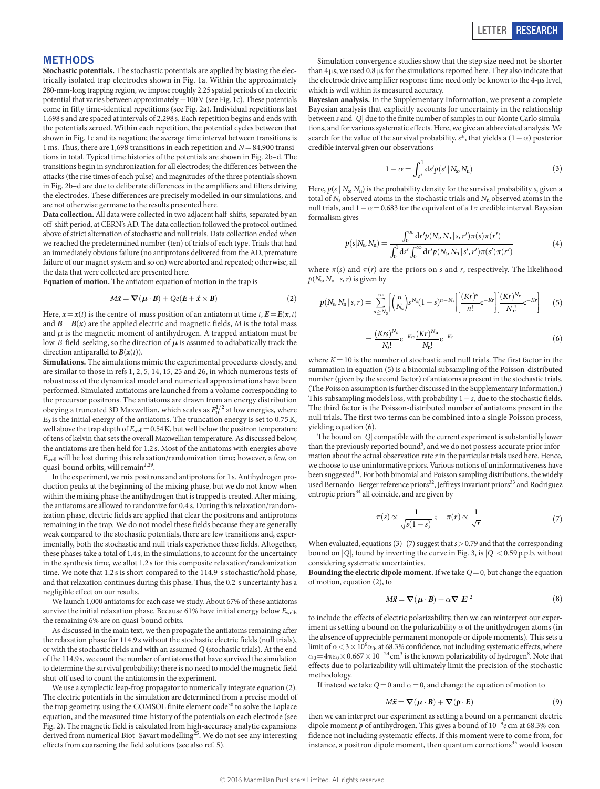## **Methods**

**Stochastic potentials.** The stochastic potentials are applied by biasing the electrically isolated trap electrodes shown in [Fig. 1a.](#page-1-0) Within the approximately 280-mm-long trapping region, we impose roughly 2.25 spatial periods of an electric potential that varies between approximately  $\pm 100$  V (see [Fig. 1c](#page-1-0)). These potentials come in fifty time-identical repetitions (see [Fig. 2a](#page-1-1)). Individual repetitions last 1.698s and are spaced at intervals of 2.298s. Each repetition begins and ends with the potentials zeroed. Within each repetition, the potential cycles between that shown in [Fig. 1c](#page-1-0) and its negation; the average time interval between transitions is 1 ms. Thus, there are 1,698 transitions in each repetition and  $N\!=\!84,\!900$  transitions in total. Typical time histories of the potentials are shown in [Fig. 2b–d.](#page-1-1) The transitions begin in synchronization for all electrodes; the differences between the attacks (the rise times of each pulse) and magnitudes of the three potentials shown in [Fig. 2b–d](#page-1-1) are due to deliberate differences in the amplifiers and filters driving the electrodes. These differences are precisely modelled in our simulations, and are not otherwise germane to the results presented here.

**Data collection.** All data were collected in two adjacent half-shifts, separated by an off-shift period, at CERN's AD. The data collection followed the protocol outlined above of strict alternation of stochastic and null trials. Data collection ended when we reached the predetermined number (ten) of trials of each type. Trials that had an immediately obvious failure (no antiprotons delivered from the AD, premature failure of our magnet system and so on) were aborted and repeated; otherwise, all the data that were collected are presented here.

**Equation of motion.** The antiatom equation of motion in the trap is

$$
M\ddot{\mathbf{x}} = \nabla(\boldsymbol{\mu} \cdot \mathbf{B}) + Qe(\mathbf{E} + \dot{\mathbf{x}} \times \mathbf{B})
$$
 (2)

Here,  $x = x(t)$  is the centre-of-mass position of an antiatom at time *t*,  $E = E(x, t)$ and  $B = B(x)$  are the applied electric and magnetic fields, *M* is the total mass and  $\mu$  is the magnetic moment of antihydrogen. A trapped antiatom must be low-*B*-field-seeking, so the direction of *μ* is assumed to adiabatically track the direction antiparallel to  $B(x(t))$ .

**Simulations.** The simulations mimic the experimental procedures closely, and are similar to those in refs [1,](#page-3-0) [2](#page-3-21), [5,](#page-3-2) [14](#page-3-11), [15](#page-3-12), [25](#page-3-22) and [26](#page-3-23), in which numerous tests of robustness of the dynamical model and numerical approximations have been performed. Simulated antiatoms are launched from a volume corresponding to the precursor positrons. The antiatoms are drawn from an energy distribution obeying a truncated 3D Maxwellian, which scales as  $E_0^{1/2}$  at low energies, where  $E_0$  is the initial energy of the antiatoms. The truncation energy is set to  $0.75$  K, well above the trap depth of  $E_{well}=0.54$  K, but well below the positron temperature of tens of kelvin that sets the overall Maxwellian temperature. As discussed below, the antiatoms are then held for 1.2 s. Most of the antiatoms with energies above *E*well will be lost during this relaxation/randomization time; however, a few, on quasi-bound orbits, will remain<sup>[2](#page-3-21),[29](#page-5-0)</sup>.

In the experiment, we mix positrons and antiprotons for 1s. Antihydrogen production peaks at the beginning of the mixing phase, but we do not know when within the mixing phase the antihydrogen that is trapped is created. After mixing, the antiatoms are allowed to randomize for 0.4 s. During this relaxation/randomization phase, electric fields are applied that clear the positrons and antiprotons remaining in the trap. We do not model these fields because they are generally weak compared to the stochastic potentials, there are few transitions and, experimentally, both the stochastic and null trials experience these fields. Altogether, these phases take a total of 1.4s; in the simulations, to account for the uncertainty in the synthesis time, we allot 1.2 s for this composite relaxation/randomization time. We note that 1.2 s is short compared to the 114.9-s stochastic/hold phase, and that relaxation continues during this phase. Thus, the 0.2-s uncertainty has a negligible effect on our results.

We launch 1,000 antiatoms for each case we study. About 67% of these antiatoms survive the initial relaxation phase. Because 61% have initial energy below *E*well, the remaining 6% are on quasi-bound orbits.

As discussed in the main text, we then propagate the antiatoms remaining after the relaxation phase for 114.9s without the stochastic electric fields (null trials), or with the stochastic fields and with an assumed *Q* (stochastic trials). At the end of the 114.9s, we count the number of antiatoms that have survived the simulation to determine the survival probability; there is no need to model the magnetic field shut-off used to count the antiatoms in the experiment.

We use a symplectic leap-frog propagator to numerically integrate equation (2). The electric potentials in the simulation are determined from a precise model of the trap geometry, using the COMSOL finite element code<sup>30</sup> to solve the Laplace equation, and the measured time-history of the potentials on each electrode (see [Fig. 2\)](#page-1-1). The magnetic field is calculated from high-accuracy analytic expansions derived from numerical Biot-Savart modelling<sup>25</sup>. We do not see any interesting effects from coarsening the field solutions (see also ref. [5\)](#page-3-2).

Simulation convergence studies show that the step size need not be shorter than 4μs; we used 0.8μs for the simulations reported here. They also indicate that the electrode drive amplifier response time need only be known to the 4-μs level, which is well within its measured accuracy.

**Bayesian analysis.** In the Supplementary Information, we present a complete Bayesian analysis that explicitly accounts for uncertainty in the relationship between *s* and |*Q*| due to the finite number of samples in our Monte Carlo simulations, and for various systematic effects. Here, we give an abbreviated analysis. We search for the value of the survival probability,  $s^*$ , that yields a (1 − α) posterior credible interval given our observations

$$
1 - \alpha = \int_{s^*}^1 ds' p(s' | N_s, N_n)
$$
 (3)

Here,  $p(s \mid N_s, N_n)$  is the probability density for the survival probability *s*, given a total of  $N_s$  observed atoms in the stochastic trials and  $N_n$  observed atoms in the null trials, and  $1 − α = 0.683$  for the equivalent of a  $1σ$  credible interval. Bayesian formalism gives

$$
p(s|N_{\rm s}, N_{\rm n}) = \frac{\int_0^\infty {\rm d}r' p(N_{\rm s}, N_{\rm n} \, | \, s, r') \pi(s) \pi(r')}{\int_0^1 {\rm d}s' \int_0^\infty {\rm d}r' p(N_{\rm s}, N_{\rm n} \, | \, s', r') \pi(s') \pi(r')} \tag{4}
$$

where  $\pi(s)$  and  $\pi(r)$  are the priors on *s* and *r*, respectively. The likelihood  $p(N_s, N_n \mid s, r)$  is given by

$$
p(N_s, N_n \, | \, s, r) = \sum_{n \ge N_s}^{\infty} \left[ \binom{n}{N_s} s^{N_s} (1-s)^{n-N_s} \right] \left[ \frac{(Kr)^n}{n!} e^{-Kr} \right] \left[ \frac{(Kr)^{N_n}}{N_n!} e^{-Kr} \right] \tag{5}
$$

$$
=\frac{(Krs)^{N_s}}{N_s!}e^{-Krs}\frac{(Kr)^{N_n}}{N_n!}e^{-Kr}
$$
(6)

where  $K = 10$  is the number of stochastic and null trials. The first factor in the summation in equation (5) is a binomial subsampling of the Poisson-distributed number (given by the second factor) of antiatoms *n* present in the stochastic trials. (The Poisson assumption is further discussed in the Supplementary Information.) This subsampling models loss, with probability 1−*s*, due to the stochastic fields. The third factor is the Poisson-distributed number of antiatoms present in the null trials. The first two terms can be combined into a single Poisson process, yielding equation (6).

The bound on |*Q*| compatible with the current experiment is substantially lower than the previously reported bound<sup>[5](#page-3-2)</sup>, and we do not possess accurate prior information about the actual observation rate *r* in the particular trials used here. Hence, we choose to use uninformative priors. Various notions of uninformativeness have been suggested<sup>31</sup>. For both binomial and Poisson sampling distributions, the widely used Bernardo–Berger reference priors<sup>32</sup>, Jeffreys invariant priors<sup>33</sup> and Rodriguez entropic priors $34$  all coincide, and are given by

$$
\pi(s) \propto \frac{1}{\sqrt{s(1-s)}}; \quad \pi(r) \propto \frac{1}{\sqrt{r}} \tag{7}
$$

When evaluated, equations (3)–(7) suggest that *s*>0.79 and that the corresponding bound on  $|Q|,$  found by inverting the curve in [Fig. 3](#page-2-1), is  $|Q|<$  0.59 p.p.b. without considering systematic uncertainties.

**Bounding the electric dipole moment.** If we take *Q*=0, but change the equation of motion, equation (2), to

$$
M\ddot{\mathbf{x}} = \nabla(\mu \cdot \mathbf{B}) + \alpha \nabla |\mathbf{E}|^2 \tag{8}
$$

to include the effects of electric polarizability, then we can reinterpret our experiment as setting a bound on the polarizability  $\alpha$  of the anithydrogen atoms (in the absence of appreciable permanent monopole or dipole moments). This sets a limit of  $\alpha$  < 3 × 10<sup>6</sup> $\alpha_0$ , at 68.3% confidence, not including systematic effects, where  $\alpha_0\!=\!4\pi\varepsilon_0\!\times\!0.667\times10^{-24}\text{cm}^3$  is the known polarizability of hydrogen<sup>8</sup>. Note that effects due to polarizability will ultimately limit the precision of the stochastic methodology.

If instead we take  $Q=0$  and  $\alpha=0$ , and change the equation of motion to

$$
M\ddot{\mathbf{x}} = \nabla(\mu \cdot \mathbf{B}) + \nabla(\mathbf{p} \cdot \mathbf{E}) \tag{9}
$$

then we can interpret our experiment as setting a bound on a permanent electric dipole moment *p* of antihydrogen. This gives a bound of 10−<sup>9</sup> *e* cm at 68.3% confidence not including systematic effects. If this moment were to come from, for instance, a positron dipole moment, then quantum corrections<sup>35</sup> would loosen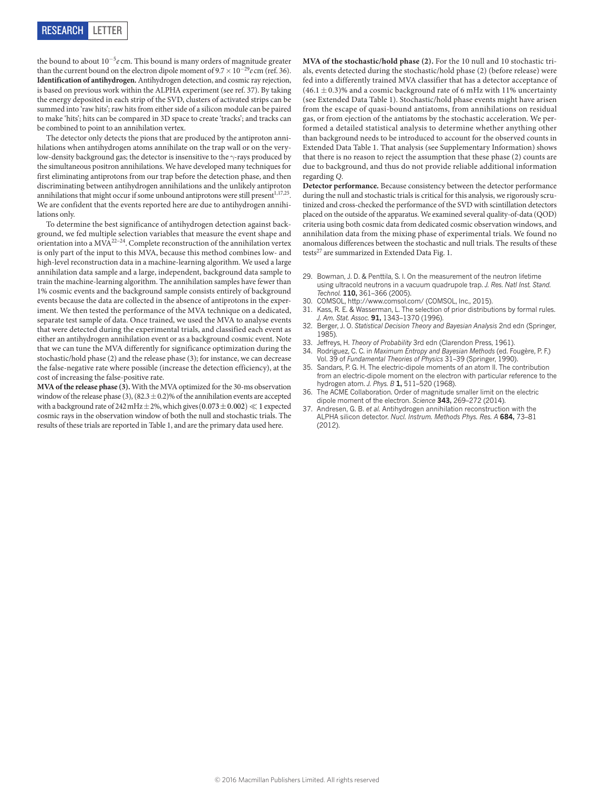the bound to about 10<sup>−</sup><sup>5</sup> *e* cm. This bound is many orders of magnitude greater than the current bound on the electron dipole moment of  $9.7 \times 10^{-29}$ *e* cm (ref. [36\)](#page-5-7). **Identification of antihydrogen.** Antihydrogen detection, and cosmic ray rejection, is based on previous work within the ALPHA experiment (see ref. [37\)](#page-5-8). By taking the energy deposited in each strip of the SVD, clusters of activated strips can be summed into 'raw hits'; raw hits from either side of a silicon module can be paired to make 'hits'; hits can be compared in 3D space to create 'tracks'; and tracks can be combined to point to an annihilation vertex.

The detector only detects the pions that are produced by the antiproton annihilations when antihydrogen atoms annihilate on the trap wall or on the verylow-density background gas; the detector is insensitive to the γ-rays produced by the simultaneous positron annihilations. We have developed many techniques for first eliminating antiprotons from our trap before the detection phase, and then discriminating between antihydrogen annihilations and the unlikely antiproton annihilations that might occur if some unbound antiprotons were still present $^{1,17,25}$  $^{1,17,25}$  $^{1,17,25}$  $^{1,17,25}$ . We are confident that the events reported here are due to antihydrogen annihilations only.

To determine the best significance of antihydrogen detection against background, we fed multiple selection variables that measure the event shape and orientation into a MVA<sup>[22–24](#page-3-19)</sup>. Complete reconstruction of the annihilation vertex is only part of the input to this MVA, because this method combines low- and high-level reconstruction data in a machine-learning algorithm. We used a large annihilation data sample and a large, independent, background data sample to train the machine-learning algorithm. The annihilation samples have fewer than 1% cosmic events and the background sample consists entirely of background events because the data are collected in the absence of antiprotons in the experiment. We then tested the performance of the MVA technique on a dedicated, separate test sample of data. Once trained, we used the MVA to analyse events that were detected during the experimental trials, and classified each event as either an antihydrogen annihilation event or as a background cosmic event. Note that we can tune the MVA differently for significance optimization during the stochastic/hold phase (2) and the release phase (3); for instance, we can decrease the false-negative rate where possible (increase the detection efficiency), at the cost of increasing the false-positive rate.

**MVA of the release phase (3).** With the MVA optimized for the 30-ms observation window of the release phase (3),  $(82.3 \pm 0.2)$ % of the annihilation events are accepted with a background rate of 242 mHz  $\pm$  2%, which gives (0.073  $\pm$  0.002)  $\ll$  1 expected cosmic rays in the observation window of both the null and stochastic trials. The results of these trials are reported in [Table 1,](#page-2-0) and are the primary data used here.

**MVA of the stochastic/hold phase (2).** For the 10 null and 10 stochastic trials, events detected during the stochastic/hold phase (2) (before release) were fed into a differently trained MVA classifier that has a detector acceptance of  $(46.1 \pm 0.3)$ % and a cosmic background rate of 6 mHz with 11% uncertainty (see [Extended Data Table 1](#page-7-0)). Stochastic/hold phase events might have arisen from the escape of quasi-bound antiatoms, from annihilations on residual gas, or from ejection of the antiatoms by the stochastic acceleration. We performed a detailed statistical analysis to determine whether anything other than background needs to be introduced to account for the observed counts in [Extended Data Table 1.](#page-7-0) That analysis (see Supplementary Information) shows that there is no reason to reject the assumption that these phase (2) counts are due to background, and thus do not provide reliable additional information regarding *Q*.

**Detector performance.** Because consistency between the detector performance during the null and stochastic trials is critical for this analysis, we rigorously scrutinized and cross-checked the performance of the SVD with scintillation detectors placed on the outside of the apparatus. We examined several quality-of-data (QOD) criteria using both cosmic data from dedicated cosmic observation windows, and annihilation data from the mixing phase of experimental trials. We found no anomalous differences between the stochastic and null trials. The results of these tests<sup>27</sup> are summarized in [Extended Data Fig. 1](#page-6-0).

- <span id="page-5-0"></span>29. Bowman, J. D. & Penttila, S. I. On the measurement of the neutron lifetime using ultracold neutrons in a vacuum quadrupole trap. *J. Res. Natl Inst. Stand. Technol.* **110,** 361–366 (2005).
- <span id="page-5-2"></span><span id="page-5-1"></span>30. COMSOL,<http://www.comsol.com/>(COMSOL, Inc., 2015).
- 31. Kass, R. E. & Wasserman, L. The selection of prior distributions by formal rules. *J. Am. Stat. Assoc.* **91,** 1343–1370 (1996).
- <span id="page-5-3"></span>32. Berger, J. O. *Statistical Decision Theory and Bayesian Analysis* 2nd edn (Springer, 1985).
- <span id="page-5-4"></span>33. Jeffreys, H. *Theory of Probability* 3rd edn (Clarendon Press, 1961).
- <span id="page-5-5"></span>34. Rodriguez, C. C. in *Maximum Entropy and Bayesian Methods* (ed. Fougère, P. F.) Vol. 39 of *Fundamental Theories of Physics* 31–39 (Springer, 1990).
- <span id="page-5-6"></span>Sandars, P. G. H. The electric-dipole moments of an atom II. The contribution from an electric-dipole moment on the electron with particular reference to the hydrogen atom. *J. Phys. B* **1,** 511–520 (1968).
- <span id="page-5-7"></span>The ACME Collaboration. Order of magnitude smaller limit on the electric dipole moment of the electron. *Science* **343,** 269–272 (2014).
- <span id="page-5-8"></span>37. Andresen, G. B. *et al.* Antihydrogen annihilation reconstruction with the ALPHA silicon detector. *Nucl. Instrum. Methods Phys. Res. A* **684,** 73–81  $(2012)$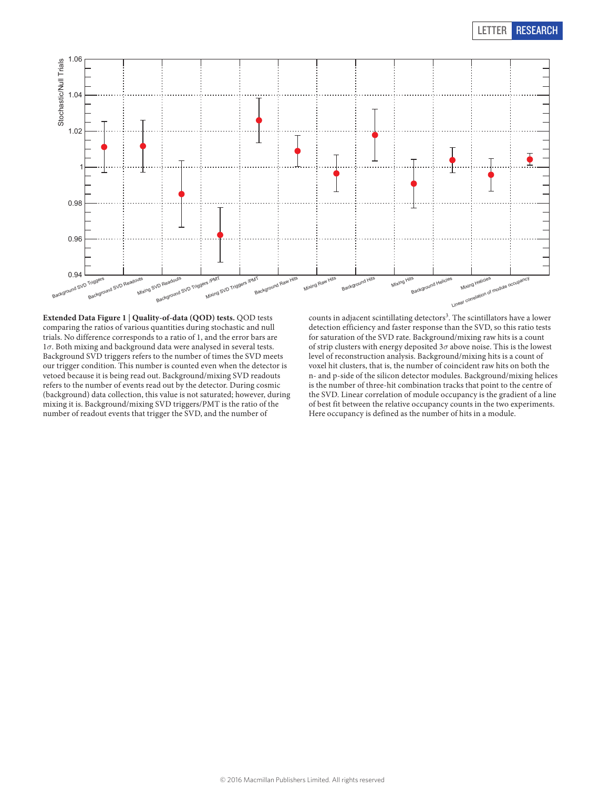

<span id="page-6-0"></span>**Extended Data Figure 1** | **Quality-of-data (QOD) tests.** QOD tests comparing the ratios of various quantities during stochastic and null trials. No difference corresponds to a ratio of 1, and the error bars are 1*σ*. Both mixing and background data were analysed in several tests. Background SVD triggers refers to the number of times the SVD meets our trigger condition. This number is counted even when the detector is vetoed because it is being read out. Background/mixing SVD readouts refers to the number of events read out by the detector. During cosmic (background) data collection, this value is not saturated; however, during mixing it is. Background/mixing SVD triggers/PMT is the ratio of the number of readout events that trigger the SVD, and the number of

counts in adjacent scintillating detectors<sup>[3](#page-3-20)</sup>. The scintillators have a lower detection efficiency and faster response than the SVD, so this ratio tests for saturation of the SVD rate. Background/mixing raw hits is a count of strip clusters with energy deposited 3*σ* above noise. This is the lowest level of reconstruction analysis. Background/mixing hits is a count of voxel hit clusters, that is, the number of coincident raw hits on both the n- and p-side of the silicon detector modules. Background/mixing helices is the number of three-hit combination tracks that point to the centre of the SVD. Linear correlation of module occupancy is the gradient of a line of best fit between the relative occupancy counts in the two experiments. Here occupancy is defined as the number of hits in a module.